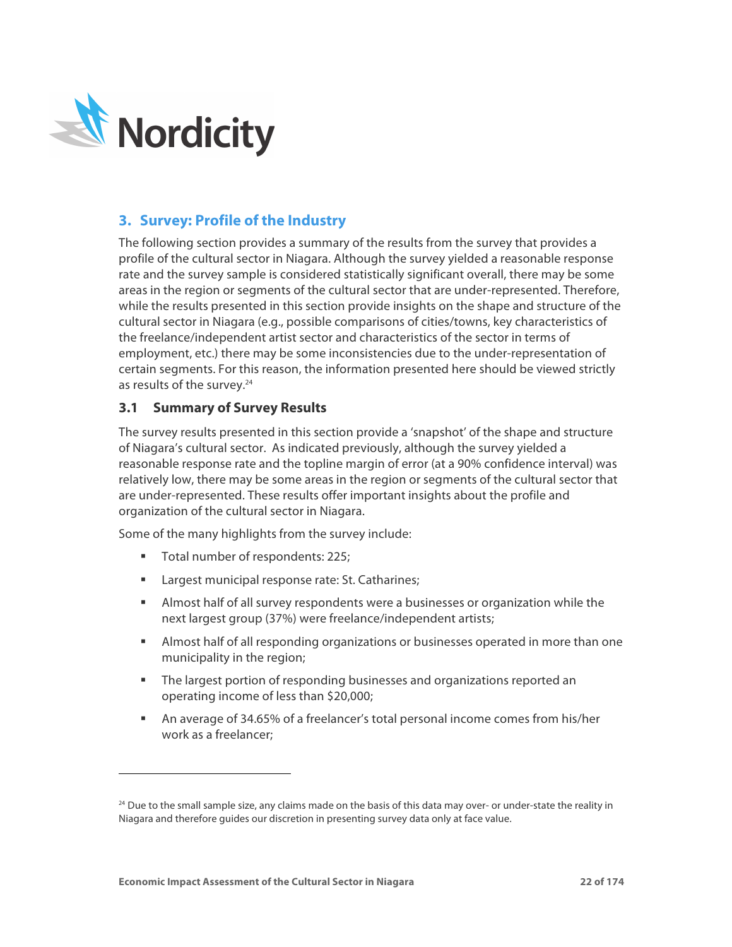

# **3. Survey: Profile of the Industry**

The following section provides a summary of the results from the survey that provides a profile of the cultural sector in Niagara. Although the survey yielded a reasonable response rate and the survey sample is considered statistically significant overall, there may be some areas in the region or segments of the cultural sector that are under-represented. Therefore, while the results presented in this section provide insights on the shape and structure of the cultural sector in Niagara (e.g., possible comparisons of cities/towns, key characteristics of the freelance/independent artist sector and characteristics of the sector in terms of employment, etc.) there may be some inconsistencies due to the under-representation of certain segments. For this reason, the information presented here should be viewed strictly as results of the survey.<sup>24</sup>

# **3.1 Summary of Survey Results**

The survey results presented in this section provide a 'snapshot' of the shape and structure of Niagara's cultural sector. As indicated previously, although the survey yielded a reasonable response rate and the topline margin of error (at a 90% confidence interval) was relatively low, there may be some areas in the region or segments of the cultural sector that are under-represented. These results offer important insights about the profile and organization of the cultural sector in Niagara.

Some of the many highlights from the survey include:

■ Total number of respondents: 225;

-

- Largest municipal response rate: St. Catharines;
- § Almost half of all survey respondents were a businesses or organization while the next largest group (37%) were freelance/independent artists;
- **EXECT** Almost half of all responding organizations or businesses operated in more than one municipality in the region;
- § The largest portion of responding businesses and organizations reported an operating income of less than \$20,000;
- § An average of 34.65% of a freelancer's total personal income comes from his/her work as a freelancer;

 $24$  Due to the small sample size, any claims made on the basis of this data may over- or under-state the reality in Niagara and therefore guides our discretion in presenting survey data only at face value.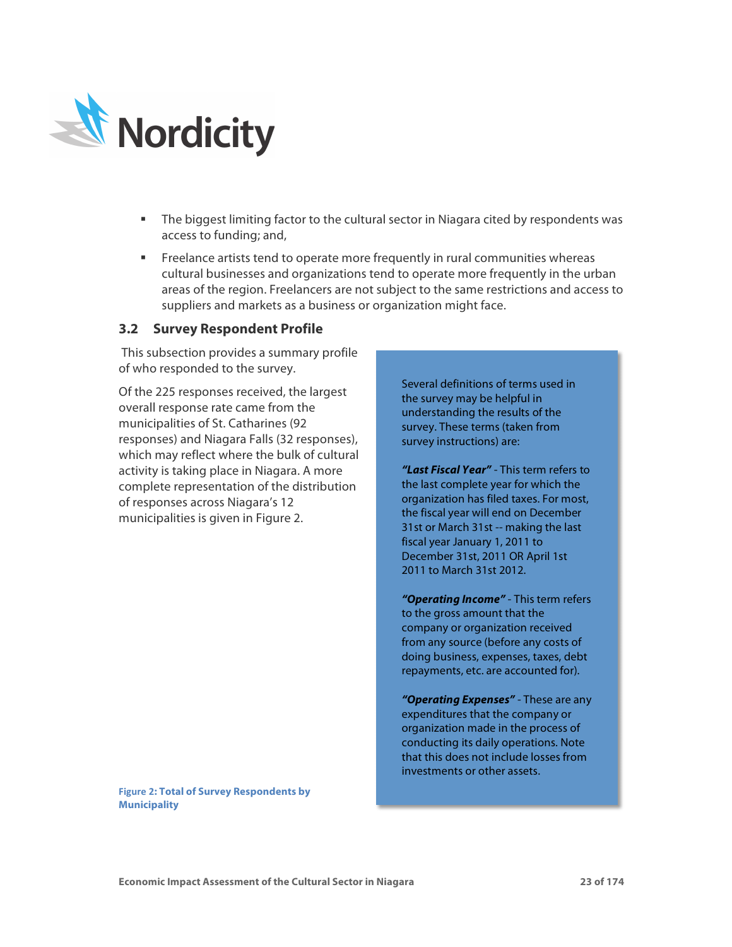

- The biggest limiting factor to the cultural sector in Niagara cited by respondents was access to funding; and,
- § Freelance artists tend to operate more frequently in rural communities whereas cultural businesses and organizations tend to operate more frequently in the urban areas of the region. Freelancers are not subject to the same restrictions and access to suppliers and markets as a business or organization might face.

## **3.2 Survey Respondent Profile**

This subsection provides a summary profile of who responded to the survey.

Of the 225 responses received, the largest overall response rate came from the municipalities of St. Catharines (92 responses) and Niagara Falls (32 responses), which may reflect where the bulk of cultural activity is taking place in Niagara. A more complete representation of the distribution of responses across Niagara's 12 municipalities is given in Figure 2.

**Figure 2: Total of Survey Respondents by Municipality**

Several definitions of terms used in the survey may be helpful in understanding the results of the survey. These terms (taken from survey instructions) are:

*"Last Fiscal Year"* - This term refers to the last complete year for which the organization has filed taxes. For most, the fiscal year will end on December 31st or March 31st -- making the last fiscal year January 1, 2011 to December 31st, 2011 OR April 1st 2011 to March 31st 2012.

*"Operating Income"* - This term refers to the gross amount that the company or organization received from any source (before any costs of doing business, expenses, taxes, debt repayments, etc. are accounted for).

*"Operating Expenses"* - These are any expenditures that the company or organization made in the process of conducting its daily operations. Note that this does not include losses from investments or other assets.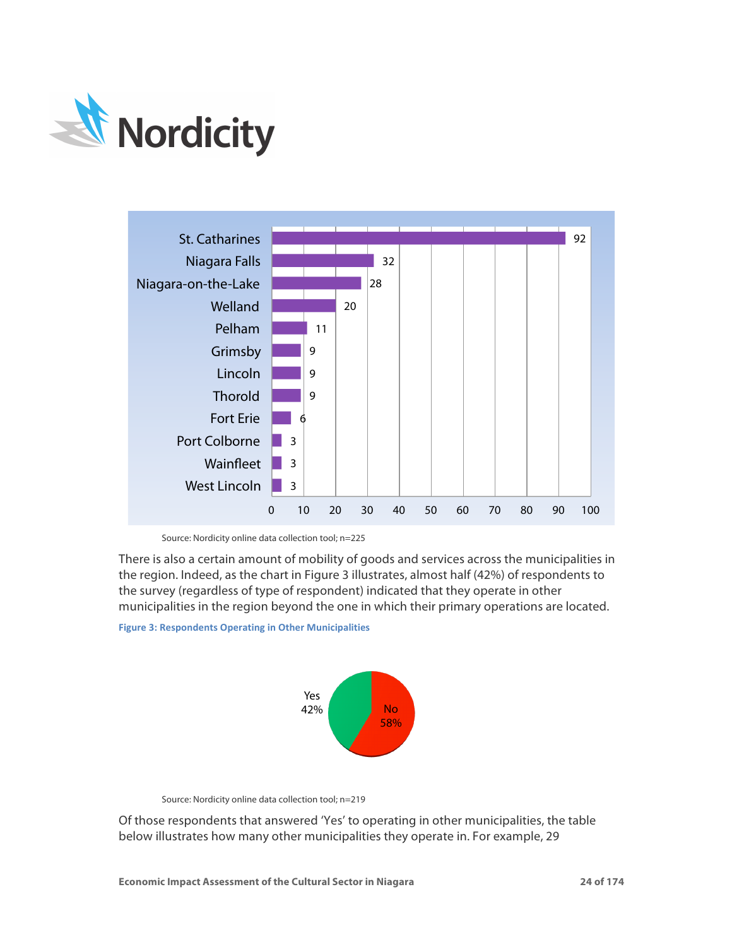



Source: Nordicity online data collection tool; n=225

There is also a certain amount of mobility of goods and services across the municipalities in the region. Indeed, as the chart in Figure 3 illustrates, almost half (42%) of respondents to the survey (regardless of type of respondent) indicated that they operate in other municipalities in the region beyond the one in which their primary operations are located.

**Figure 3: Respondents Operating in Other Municipalities** 



Source: Nordicity online data collection tool; n=219

Of those respondents that answered 'Yes' to operating in other municipalities, the table below illustrates how many other municipalities they operate in. For example, 29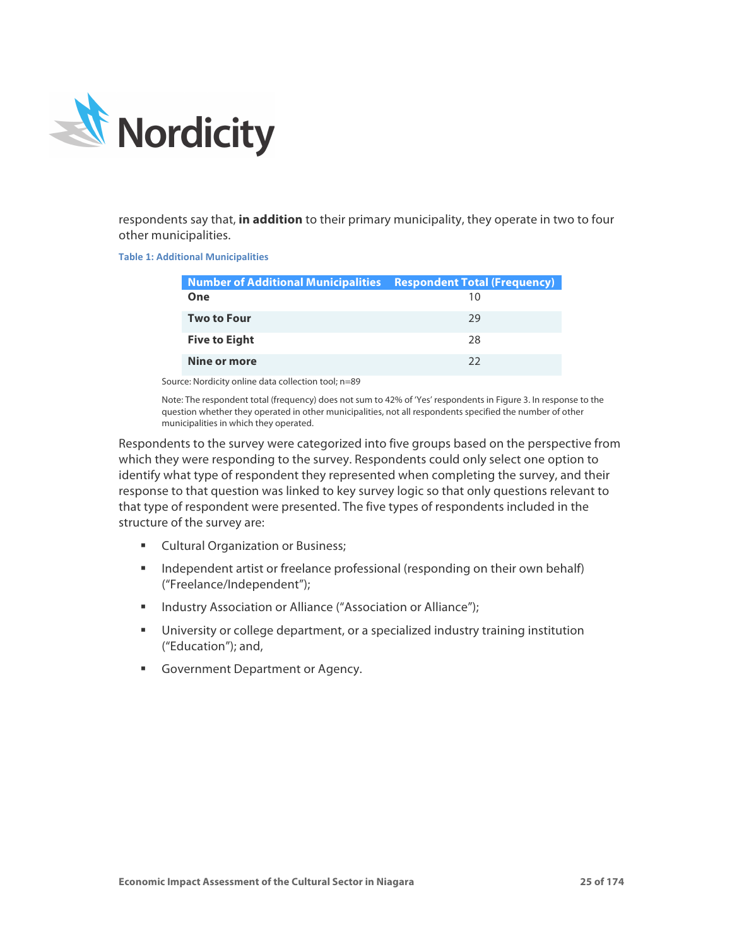

respondents say that, **in addition** to their primary municipality, they operate in two to four other municipalities.

**Table 1: Additional Municipalities** 

| <b>Number of Additional Municipalities Respondent Total (Frequency)</b> |    |
|-------------------------------------------------------------------------|----|
| One                                                                     |    |
| <b>Two to Four</b>                                                      | 29 |
| <b>Five to Eight</b>                                                    | 28 |
| Nine or more                                                            | フフ |

Source: Nordicity online data collection tool; n=89

Note: The respondent total (frequency) does not sum to 42% of 'Yes' respondents in Figure 3. In response to the question whether they operated in other municipalities, not all respondents specified the number of other municipalities in which they operated.

Respondents to the survey were categorized into five groups based on the perspective from which they were responding to the survey. Respondents could only select one option to identify what type of respondent they represented when completing the survey, and their response to that question was linked to key survey logic so that only questions relevant to that type of respondent were presented. The five types of respondents included in the structure of the survey are:

- Cultural Organization or Business;
- Independent artist or freelance professional (responding on their own behalf) ("Freelance/Independent");
- Industry Association or Alliance ("Association or Alliance");
- University or college department, or a specialized industry training institution ("Education"); and,
- Government Department or Agency.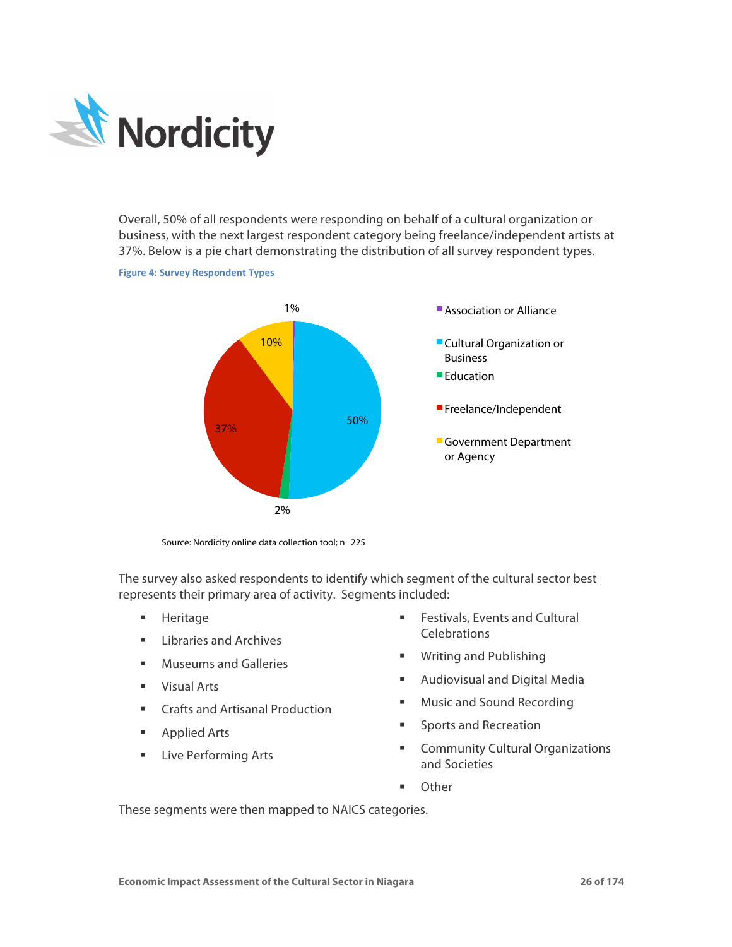

Overall, 50% of all respondents were responding on behalf of a cultural organization or business, with the next largest respondent category being freelance/independent artists at 37%. Below is a pie chart demonstrating the distribution of all survey respondent types.

### **Figure 4: Survey Respondent Types**



Source: Nordicity online data collection tool; n=225

The survey also asked respondents to identify which segment of the cultural sector best represents their primary area of activity. Segments included:

- § Heritage
- **E** Libraries and Archives
- Museums and Galleries
- § Visual Arts
- Crafts and Artisanal Production
- Applied Arts
- **Example 2** Live Performing Arts
- Festivals, Events and Cultural **Celebrations**
- § Writing and Publishing
- **Audiovisual and Digital Media**
- Music and Sound Recording
- Sports and Recreation
- Community Cultural Organizations and Societies
- Other

These segments were then mapped to NAICS categories.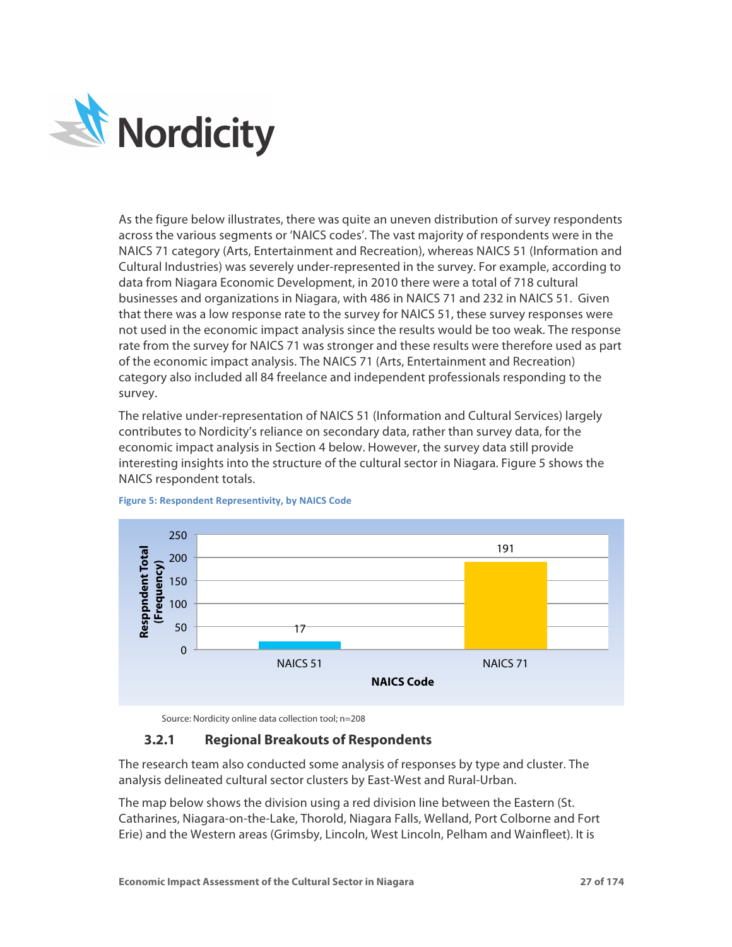

As the figure below illustrates, there was quite an uneven distribution of survey respondents across the various segments or 'NAICS codes'. The vast majority of respondents were in the NAICS 71 category (Arts, Entertainment and Recreation), whereas NAICS 51 (Information and Cultural Industries) was severely under-represented in the survey. For example, according to data from Niagara Economic Development, in 2010 there were a total of 718 cultural businesses and organizations in Niagara, with 486 in NAICS 71 and 232 in NAICS 51. Given that there was a low response rate to the survey for NAICS 51, these survey responses were not used in the economic impact analysis since the results would be too weak. The response rate from the survey for NAICS 71 was stronger and these results were therefore used as part of the economic impact analysis. The NAICS 71 (Arts, Entertainment and Recreation) category also included all 84 freelance and independent professionals responding to the survey.

The relative under-representation of NAICS 51 (Information and Cultural Services) largely contributes to Nordicity's reliance on secondary data, rather than survey data, for the economic impact analysis in Section 4 below. However, the survey data still provide interesting insights into the structure of the cultural sector in Niagara. Figure 5 shows the NAICS respondent totals.



### **Figure 5: Respondent Representivity, by NAICS Code**

Source: Nordicity online data collection tool; n=208

# **3.2.1 Regional Breakouts of Respondents**

The research team also conducted some analysis of responses by type and cluster. The analysis delineated cultural sector clusters by East-West and Rural-Urban.

The map below shows the division using a red division line between the Eastern (St. Catharines, Niagara-on-the-Lake, Thorold, Niagara Falls, Welland, Port Colborne and Fort Erie) and the Western areas (Grimsby, Lincoln, West Lincoln, Pelham and Wainfleet). It is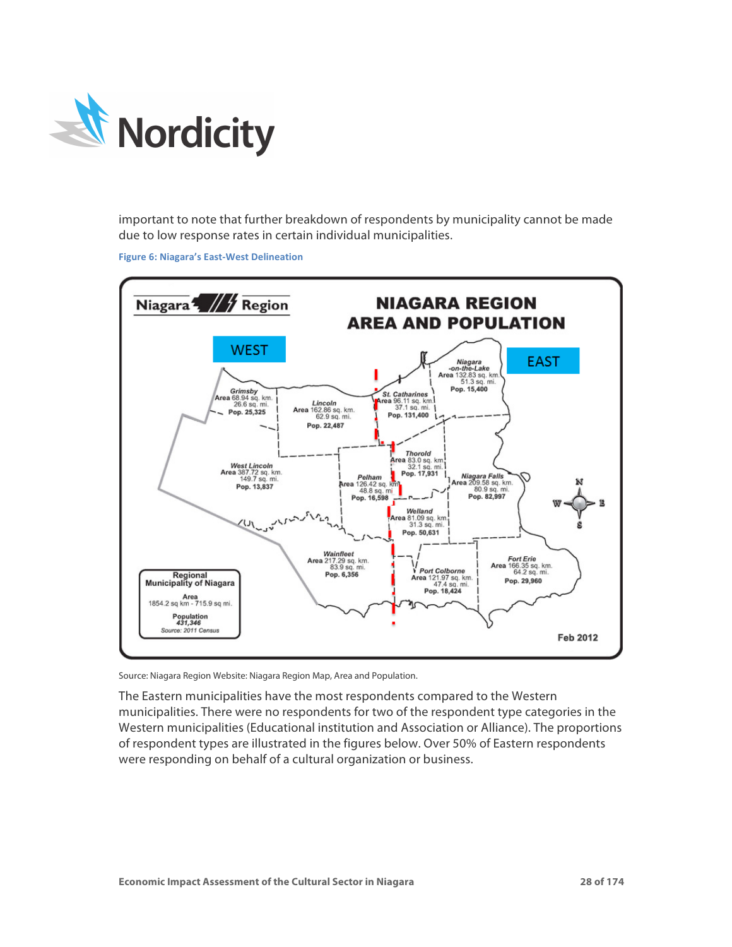

important to note that further breakdown of respondents by municipality cannot be made due to low response rates in certain individual municipalities.

**Figure 6: Niagara's East-West Delineation** 



Source: Niagara Region Website: Niagara Region Map, Area and Population.

The Eastern municipalities have the most respondents compared to the Western municipalities. There were no respondents for two of the respondent type categories in the Western municipalities (Educational institution and Association or Alliance). The proportions of respondent types are illustrated in the figures below. Over 50% of Eastern respondents were responding on behalf of a cultural organization or business.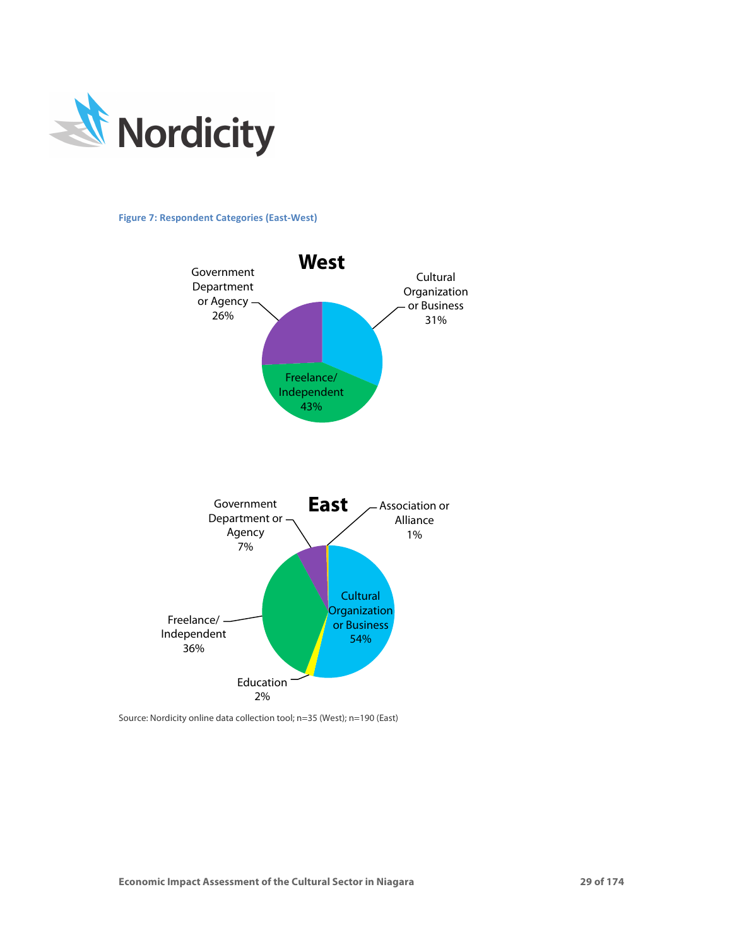

**Figure 7: Respondent Categories (East-West)** 



Source: Nordicity online data collection tool; n=35 (West); n=190 (East)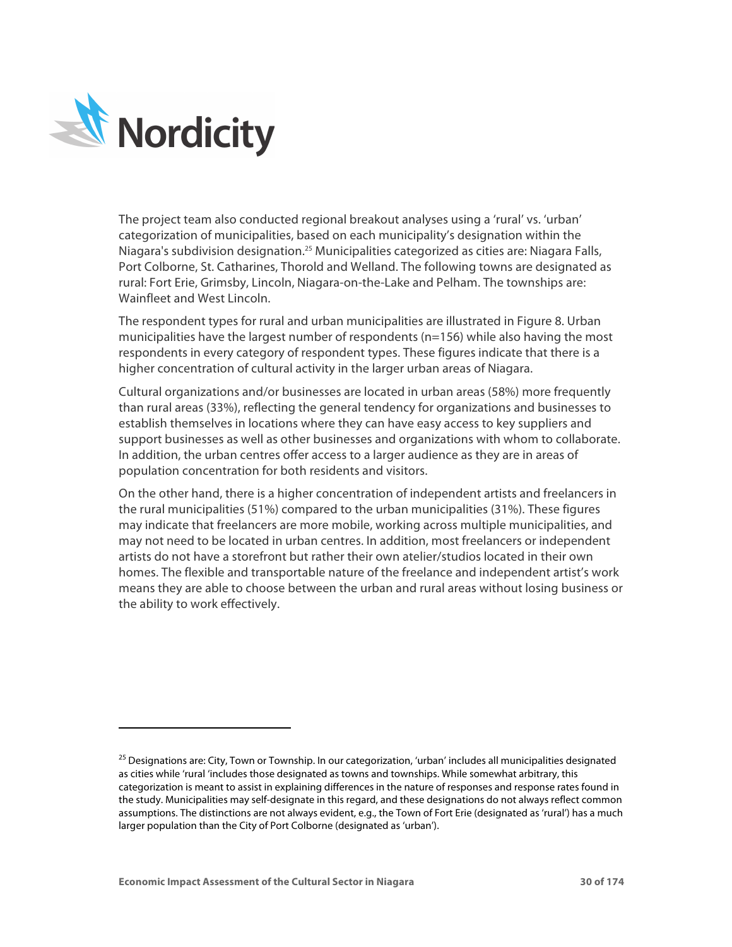

-

The project team also conducted regional breakout analyses using a 'rural' vs. 'urban' categorization of municipalities, based on each municipality's designation within the Niagara's subdivision designation.25 Municipalities categorized as cities are: Niagara Falls, Port Colborne, St. Catharines, Thorold and Welland. The following towns are designated as rural: Fort Erie, Grimsby, Lincoln, Niagara-on-the-Lake and Pelham. The townships are: Wainfleet and West Lincoln.

The respondent types for rural and urban municipalities are illustrated in Figure 8. Urban municipalities have the largest number of respondents (n=156) while also having the most respondents in every category of respondent types. These figures indicate that there is a higher concentration of cultural activity in the larger urban areas of Niagara.

Cultural organizations and/or businesses are located in urban areas (58%) more frequently than rural areas (33%), reflecting the general tendency for organizations and businesses to establish themselves in locations where they can have easy access to key suppliers and support businesses as well as other businesses and organizations with whom to collaborate. In addition, the urban centres offer access to a larger audience as they are in areas of population concentration for both residents and visitors.

On the other hand, there is a higher concentration of independent artists and freelancers in the rural municipalities (51%) compared to the urban municipalities (31%). These figures may indicate that freelancers are more mobile, working across multiple municipalities, and may not need to be located in urban centres. In addition, most freelancers or independent artists do not have a storefront but rather their own atelier/studios located in their own homes. The flexible and transportable nature of the freelance and independent artist's work means they are able to choose between the urban and rural areas without losing business or the ability to work effectively.

<sup>&</sup>lt;sup>25</sup> Designations are: City, Town or Township. In our categorization, 'urban' includes all municipalities designated as cities while 'rural 'includes those designated as towns and townships. While somewhat arbitrary, this categorization is meant to assist in explaining differences in the nature of responses and response rates found in the study. Municipalities may self-designate in this regard, and these designations do not always reflect common assumptions. The distinctions are not always evident, e.g., the Town of Fort Erie (designated as 'rural') has a much larger population than the City of Port Colborne (designated as 'urban').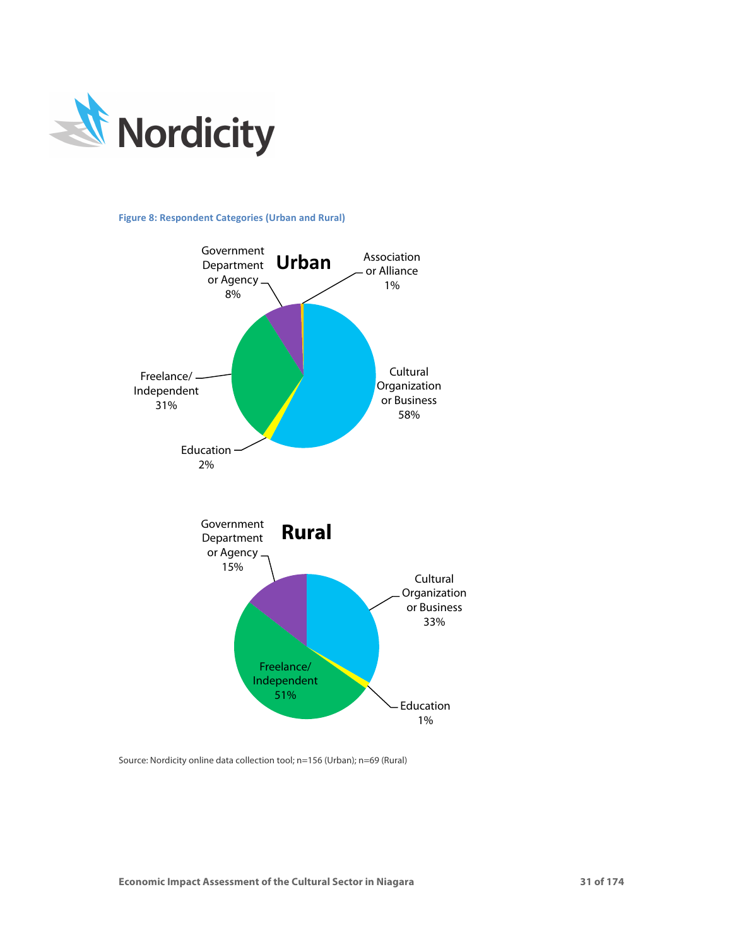

## **Figure 8: Respondent Categories (Urban and Rural)**



Source: Nordicity online data collection tool; n=156 (Urban); n=69 (Rural)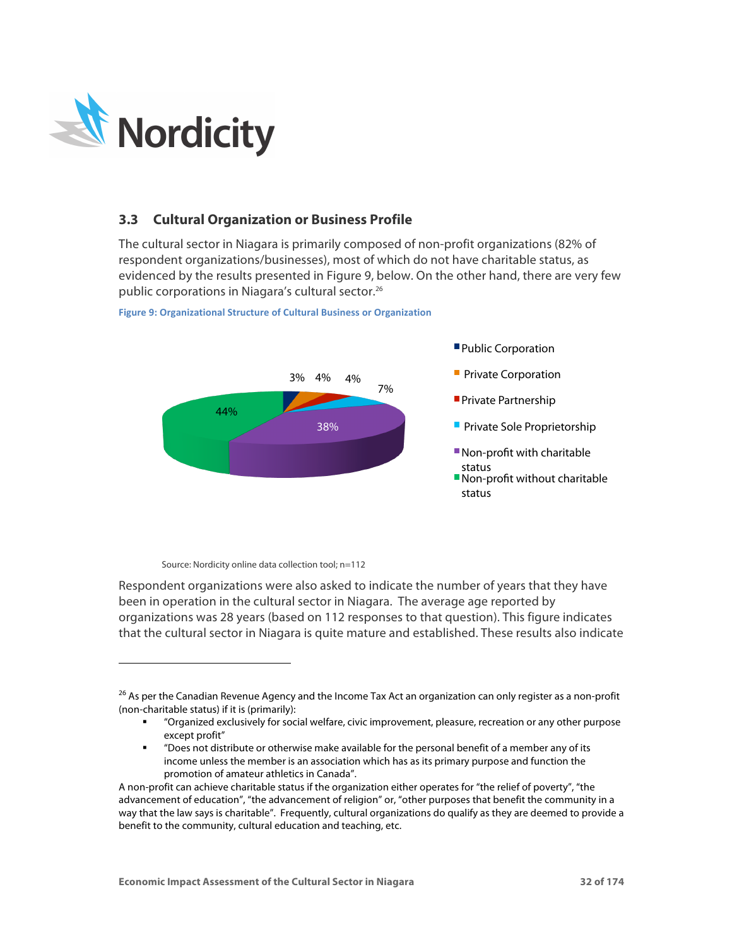

-

# **3.3 Cultural Organization or Business Profile**

The cultural sector in Niagara is primarily composed of non-profit organizations (82% of respondent organizations/businesses), most of which do not have charitable status, as evidenced by the results presented in Figure 9, below. On the other hand, there are very few public corporations in Niagara's cultural sector. 26



**Figure 9: Organizational Structure of Cultural Business or Organization** 

Source: Nordicity online data collection tool; n=112

Respondent organizations were also asked to indicate the number of years that they have been in operation in the cultural sector in Niagara. The average age reported by organizations was 28 years (based on 112 responses to that question). This figure indicates that the cultural sector in Niagara is quite mature and established. These results also indicate

<sup>&</sup>lt;sup>26</sup> As per the Canadian Revenue Agency and the Income Tax Act an organization can only register as a non-profit (non-charitable status) if it is (primarily):

<sup>§</sup> "Organized exclusively for social welfare, civic improvement, pleasure, recreation or any other purpose except profit"

<sup>§</sup> "Does not distribute or otherwise make available for the personal benefit of a member any of its income unless the member is an association which has as its primary purpose and function the promotion of amateur athletics in Canada".

A non-profit can achieve charitable status if the organization either operates for "the relief of poverty", "the advancement of education", "the advancement of religion" or, "other purposes that benefit the community in a way that the law says is charitable". Frequently, cultural organizations do qualify as they are deemed to provide a benefit to the community, cultural education and teaching, etc.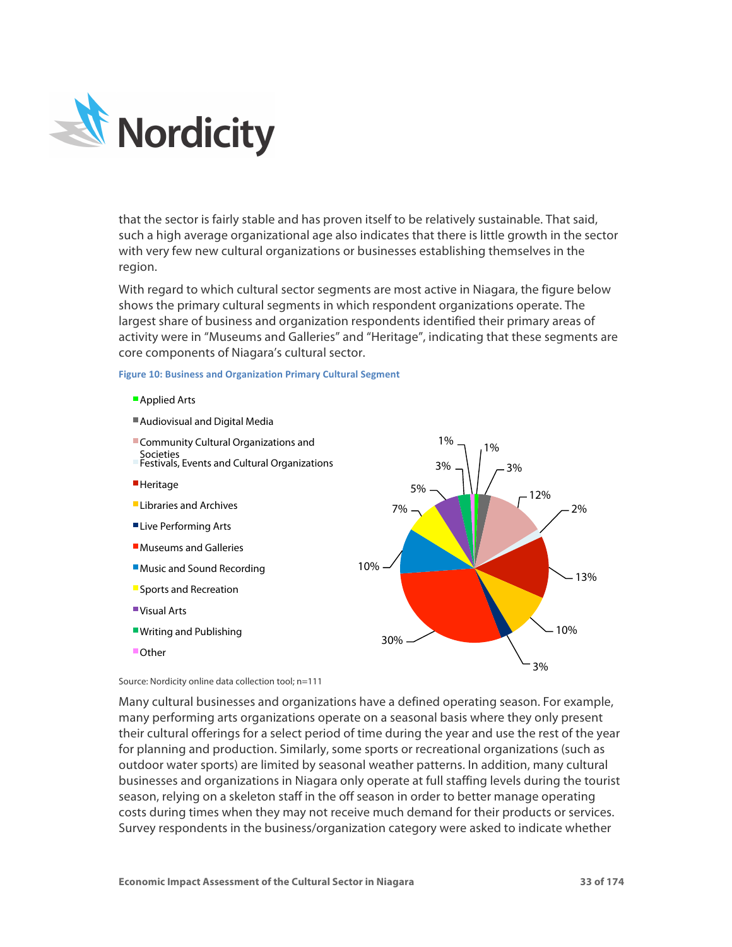

that the sector is fairly stable and has proven itself to be relatively sustainable. That said, such a high average organizational age also indicates that there is little growth in the sector with very few new cultural organizations or businesses establishing themselves in the region.

With regard to which cultural sector segments are most active in Niagara, the figure below shows the primary cultural segments in which respondent organizations operate. The largest share of business and organization respondents identified their primary areas of activity were in "Museums and Galleries" and "Heritage", indicating that these segments are core components of Niagara's cultural sector.

1%

### **Figure 10: Business and Organization Primary Cultural Segment**

- **Applied Arts**
- Audiovisual and Digital Media
- Community Cultural Organizations and



Source: Nordicity online data collection tool; n=111

Many cultural businesses and organizations have a defined operating season. For example, many performing arts organizations operate on a seasonal basis where they only present their cultural offerings for a select period of time during the year and use the rest of the year for planning and production. Similarly, some sports or recreational organizations (such as outdoor water sports) are limited by seasonal weather patterns. In addition, many cultural businesses and organizations in Niagara only operate at full staffing levels during the tourist season, relying on a skeleton staff in the off season in order to better manage operating costs during times when they may not receive much demand for their products or services. Survey respondents in the business/organization category were asked to indicate whether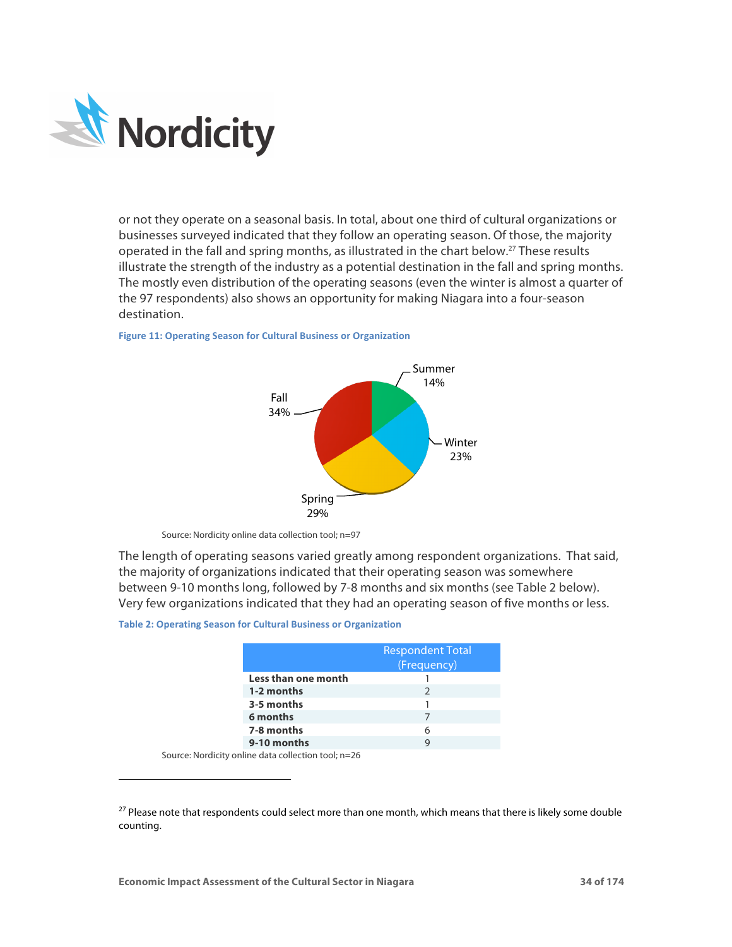

or not they operate on a seasonal basis. In total, about one third of cultural organizations or businesses surveyed indicated that they follow an operating season. Of those, the majority operated in the fall and spring months, as illustrated in the chart below. <sup>27</sup> These results illustrate the strength of the industry as a potential destination in the fall and spring months. The mostly even distribution of the operating seasons (even the winter is almost a quarter of the 97 respondents) also shows an opportunity for making Niagara into a four-season destination.



#### **Figure 11: Operating Season for Cultural Business or Organization**

The length of operating seasons varied greatly among respondent organizations. That said, the majority of organizations indicated that their operating season was somewhere between 9-10 months long, followed by 7-8 months and six months (see Table 2 below). Very few organizations indicated that they had an operating season of five months or less.

#### **Table 2: Operating Season for Cultural Business or Organization**

|                     | <b>Respondent Total</b><br>(Frequency) |
|---------------------|----------------------------------------|
| Less than one month |                                        |
| 1-2 months          |                                        |
| 3-5 months          |                                        |
| 6 months            |                                        |
| 7-8 months          | 6                                      |
| 9-10 months         | q                                      |

Source: Nordicity online data collection tool; n=26

<sup>-</sup>

Source: Nordicity online data collection tool; n=97

<sup>&</sup>lt;sup>27</sup> Please note that respondents could select more than one month, which means that there is likely some double counting.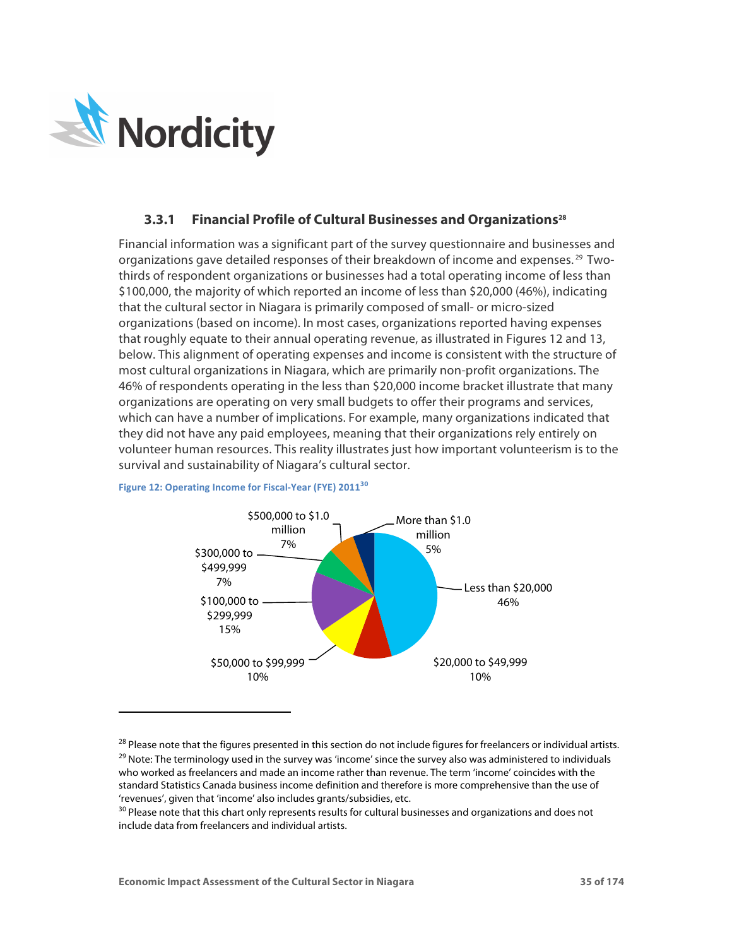

-

## **3.3.1 Financial Profile of Cultural Businesses and Organizations28**

Financial information was a significant part of the survey questionnaire and businesses and organizations gave detailed responses of their breakdown of income and expenses. <sup>29</sup> Twothirds of respondent organizations or businesses had a total operating income of less than \$100,000, the majority of which reported an income of less than \$20,000 (46%), indicating that the cultural sector in Niagara is primarily composed of small- or micro-sized organizations (based on income). In most cases, organizations reported having expenses that roughly equate to their annual operating revenue, as illustrated in Figures 12 and 13, below. This alignment of operating expenses and income is consistent with the structure of most cultural organizations in Niagara, which are primarily non-profit organizations. The 46% of respondents operating in the less than \$20,000 income bracket illustrate that many organizations are operating on very small budgets to offer their programs and services, which can have a number of implications. For example, many organizations indicated that they did not have any paid employees, meaning that their organizations rely entirely on volunteer human resources. This reality illustrates just how important volunteerism is to the survival and sustainability of Niagara's cultural sector.



## **Figure 12: Operating Income for Fiscal-Year (FYE) 2011<sup>30</sup>**

 $^{28}$  Please note that the figures presented in this section do not include figures for freelancers or individual artists. <sup>29</sup> Note: The terminology used in the survey was 'income' since the survey also was administered to individuals who worked as freelancers and made an income rather than revenue. The term 'income' coincides with the standard Statistics Canada business income definition and therefore is more comprehensive than the use of 'revenues', given that 'income' also includes grants/subsidies, etc.

<sup>&</sup>lt;sup>30</sup> Please note that this chart only represents results for cultural businesses and organizations and does not include data from freelancers and individual artists.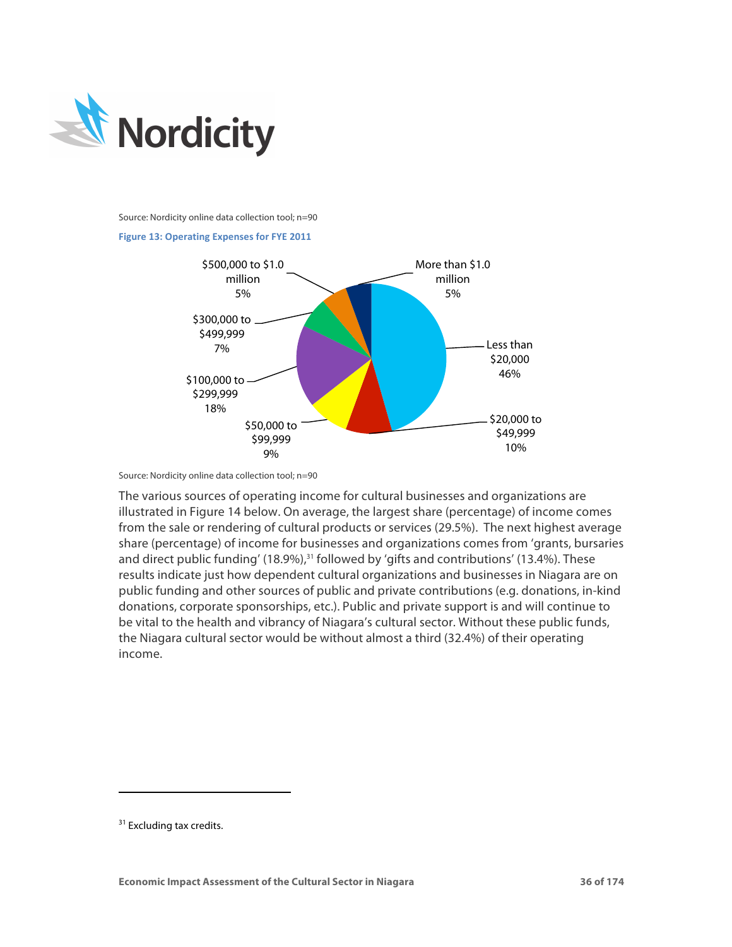

Source: Nordicity online data collection tool; n=90





Source: Nordicity online data collection tool; n=90

The various sources of operating income for cultural businesses and organizations are illustrated in Figure 14 below. On average, the largest share (percentage) of income comes from the sale or rendering of cultural products or services (29.5%). The next highest average share (percentage) of income for businesses and organizations comes from 'grants, bursaries and direct public funding' (18.9%),<sup>31</sup> followed by 'gifts and contributions' (13.4%). These results indicate just how dependent cultural organizations and businesses in Niagara are on public funding and other sources of public and private contributions (e.g. donations, in-kind donations, corporate sponsorships, etc.). Public and private support is and will continue to be vital to the health and vibrancy of Niagara's cultural sector. Without these public funds, the Niagara cultural sector would be without almost a third (32.4%) of their operating income.

-

<sup>&</sup>lt;sup>31</sup> Excluding tax credits.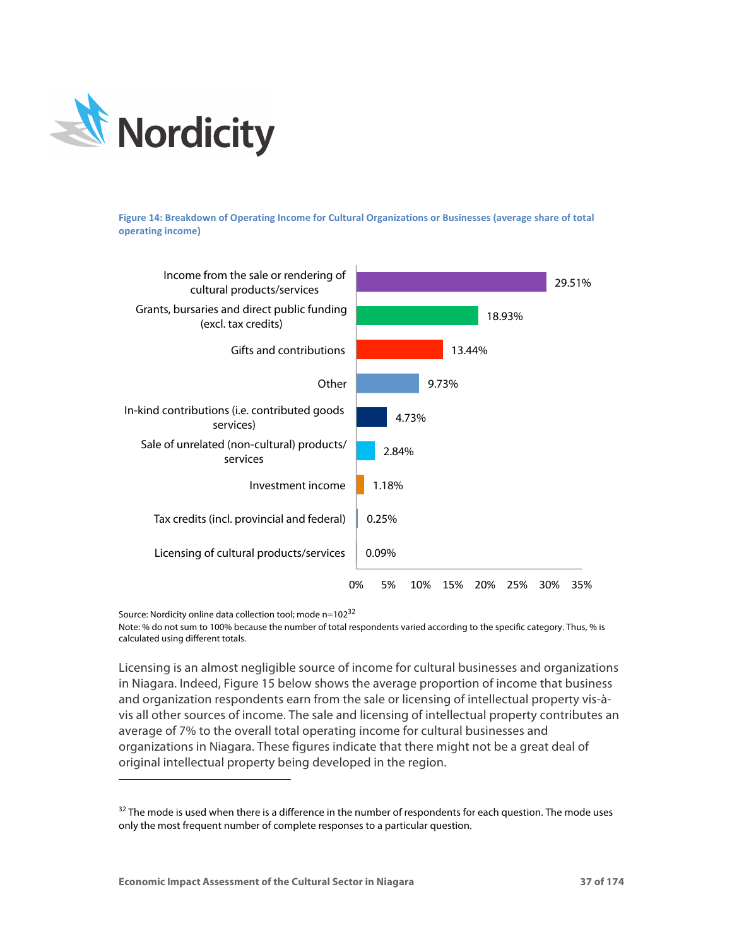

Figure 14: Breakdown of Operating Income for Cultural Organizations or Businesses (average share of total **operating income)** 



Source: Nordicity online data collection tool; mode n=102<sup>32</sup>

<sup>-</sup>

Note: % do not sum to 100% because the number of total respondents varied according to the specific category. Thus, % is calculated using different totals.

Licensing is an almost negligible source of income for cultural businesses and organizations in Niagara. Indeed, Figure 15 below shows the average proportion of income that business and organization respondents earn from the sale or licensing of intellectual property vis-àvis all other sources of income. The sale and licensing of intellectual property contributes an average of 7% to the overall total operating income for cultural businesses and organizations in Niagara. These figures indicate that there might not be a great deal of original intellectual property being developed in the region.

<sup>&</sup>lt;sup>32</sup> The mode is used when there is a difference in the number of respondents for each question. The mode uses only the most frequent number of complete responses to a particular question.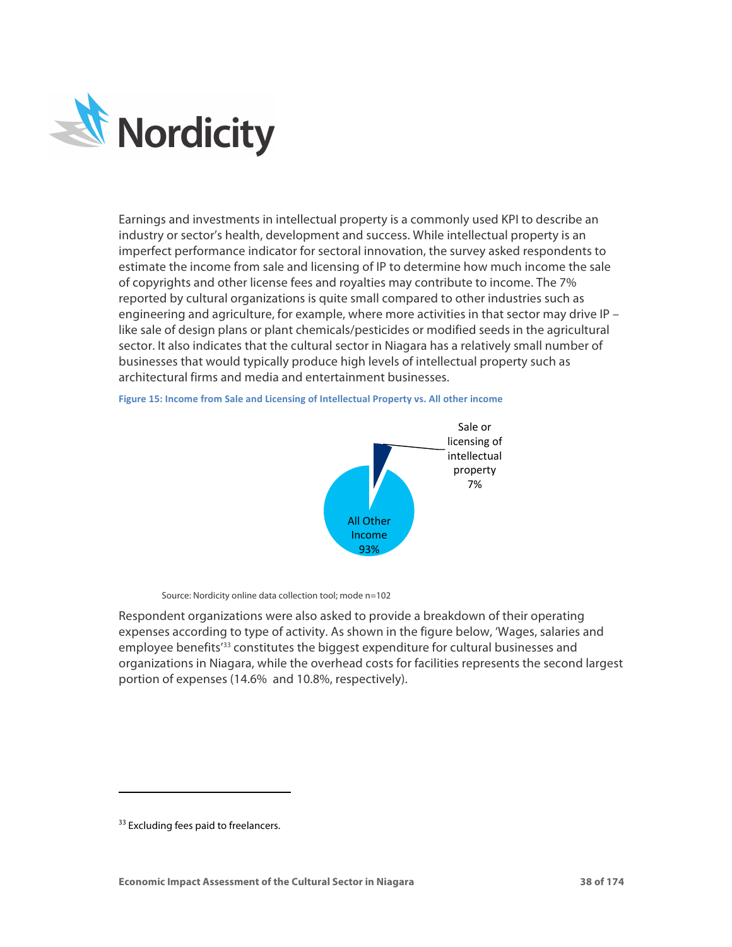

Earnings and investments in intellectual property is a commonly used KPI to describe an industry or sector's health, development and success. While intellectual property is an imperfect performance indicator for sectoral innovation, the survey asked respondents to estimate the income from sale and licensing of IP to determine how much income the sale of copyrights and other license fees and royalties may contribute to income. The 7% reported by cultural organizations is quite small compared to other industries such as engineering and agriculture, for example, where more activities in that sector may drive IP like sale of design plans or plant chemicals/pesticides or modified seeds in the agricultural sector. It also indicates that the cultural sector in Niagara has a relatively small number of businesses that would typically produce high levels of intellectual property such as architectural firms and media and entertainment businesses.

> Sale or licensing of intellectual property 7% **All Other** Income 93%

Figure 15: Income from Sale and Licensing of Intellectual Property vs. All other income

Source: Nordicity online data collection tool; mode n=102

Respondent organizations were also asked to provide a breakdown of their operating expenses according to type of activity. As shown in the figure below, 'Wages, salaries and employee benefits<sup>'33</sup> constitutes the biggest expenditure for cultural businesses and organizations in Niagara, while the overhead costs for facilities represents the second largest portion of expenses (14.6% and 10.8%, respectively).

-

<sup>&</sup>lt;sup>33</sup> Excluding fees paid to freelancers.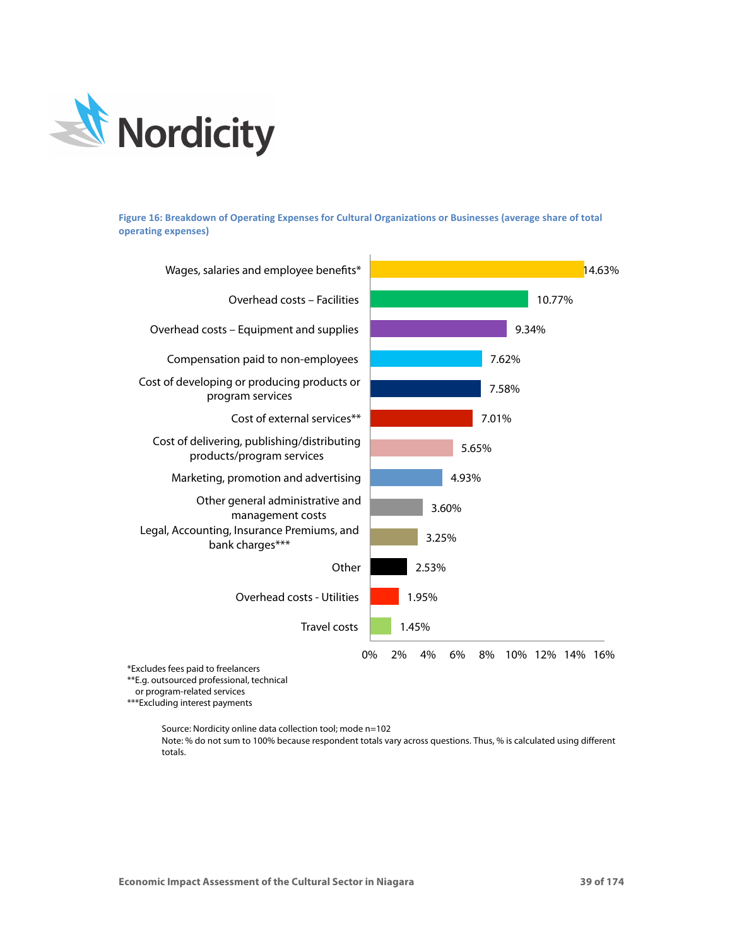

Figure 16: Breakdown of Operating Expenses for Cultural Organizations or Businesses (average share of total **operating expenses)**



\*\*\*Excluding interest payments

Source: Nordicity online data collection tool; mode n=102

Note: % do not sum to 100% because respondent totals vary across questions. Thus, % is calculated using different totals.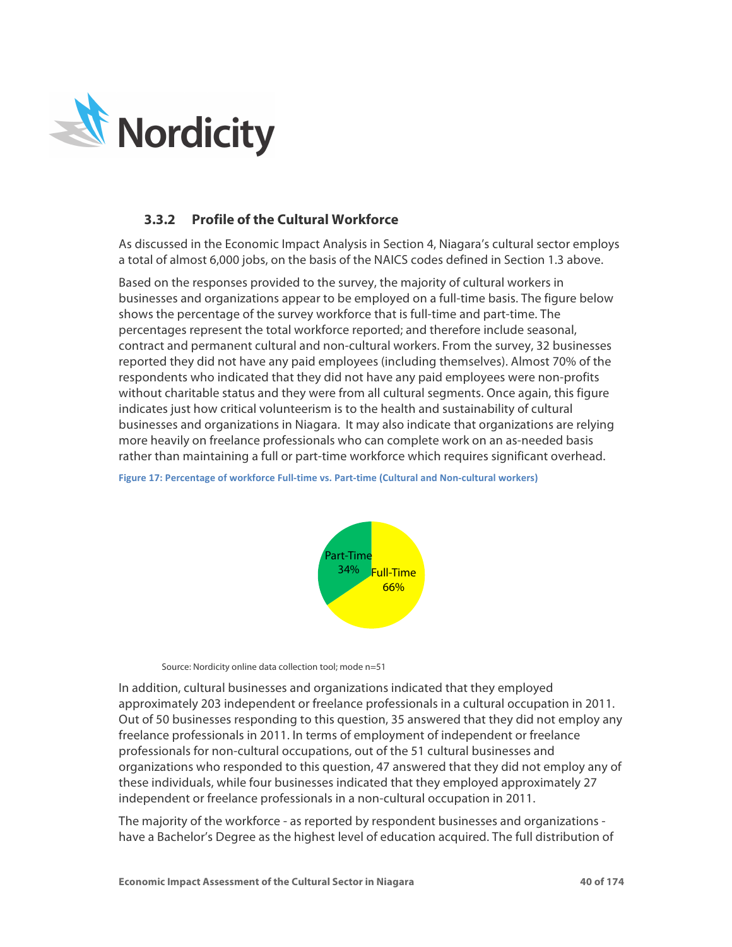

# **3.3.2 Profile of the Cultural Workforce**

As discussed in the Economic Impact Analysis in Section 4, Niagara's cultural sector employs a total of almost 6,000 jobs, on the basis of the NAICS codes defined in Section 1.3 above.

Based on the responses provided to the survey, the majority of cultural workers in businesses and organizations appear to be employed on a full-time basis. The figure below shows the percentage of the survey workforce that is full-time and part-time. The percentages represent the total workforce reported; and therefore include seasonal, contract and permanent cultural and non-cultural workers. From the survey, 32 businesses reported they did not have any paid employees (including themselves). Almost 70% of the respondents who indicated that they did not have any paid employees were non-profits without charitable status and they were from all cultural segments. Once again, this figure indicates just how critical volunteerism is to the health and sustainability of cultural businesses and organizations in Niagara. It may also indicate that organizations are relying more heavily on freelance professionals who can complete work on an as-needed basis rather than maintaining a full or part-time workforce which requires significant overhead.

**Figure 17: Percentage of workforce Full-time vs. Part-time (Cultural and Non-cultural workers)** 



Source: Nordicity online data collection tool; mode n=51

In addition, cultural businesses and organizations indicated that they employed approximately 203 independent or freelance professionals in a cultural occupation in 2011. Out of 50 businesses responding to this question, 35 answered that they did not employ any freelance professionals in 2011. In terms of employment of independent or freelance professionals for non-cultural occupations, out of the 51 cultural businesses and organizations who responded to this question, 47 answered that they did not employ any of these individuals, while four businesses indicated that they employed approximately 27 independent or freelance professionals in a non-cultural occupation in 2011.

The majority of the workforce - as reported by respondent businesses and organizations have a Bachelor's Degree as the highest level of education acquired. The full distribution of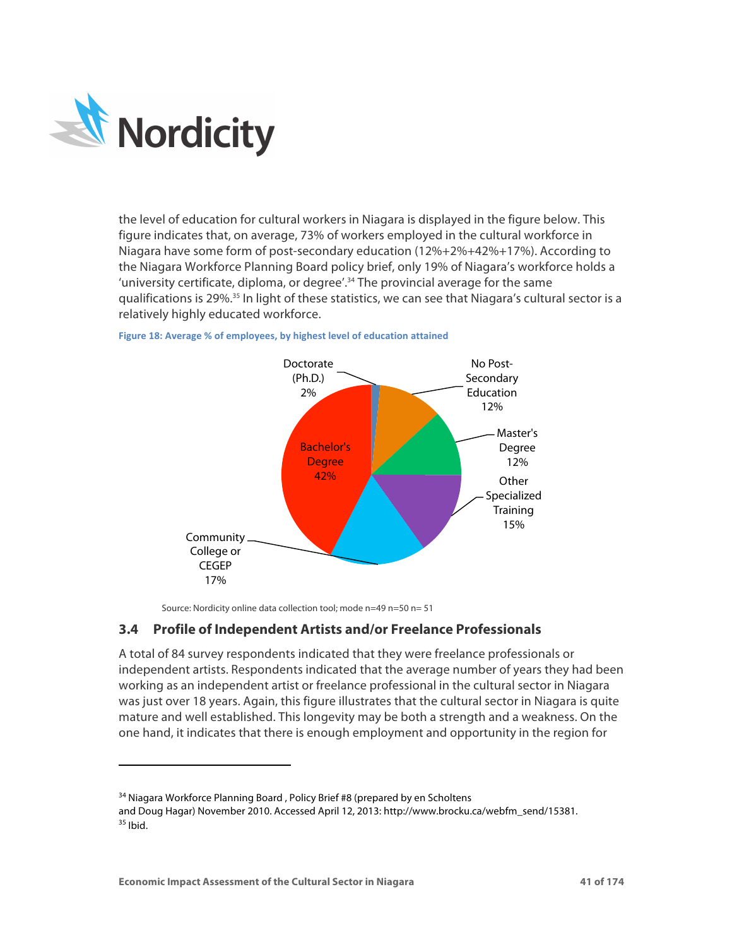

<sup>-</sup>

the level of education for cultural workers in Niagara is displayed in the figure below. This figure indicates that, on average, 73% of workers employed in the cultural workforce in Niagara have some form of post-secondary education (12%+2%+42%+17%). According to the Niagara Workforce Planning Board policy brief, only 19% of Niagara's workforce holds a 'university certificate, diploma, or degree'.<sup>34</sup> The provincial average for the same qualifications is 29%.<sup>35</sup> In light of these statistics, we can see that Niagara's cultural sector is a relatively highly educated workforce.



**Figure 18: Average % of employees, by highest level of education attained** 

Source: Nordicity online data collection tool; mode n=49 n=50 n= 51

## **3.4 Profile of Independent Artists and/or Freelance Professionals**

A total of 84 survey respondents indicated that they were freelance professionals or independent artists. Respondents indicated that the average number of years they had been working as an independent artist or freelance professional in the cultural sector in Niagara was just over 18 years. Again, this figure illustrates that the cultural sector in Niagara is quite mature and well established. This longevity may be both a strength and a weakness. On the one hand, it indicates that there is enough employment and opportunity in the region for

<sup>&</sup>lt;sup>34</sup> Niagara Workforce Planning Board, Policy Brief #8 (prepared by en Scholtens

and Doug Hagar) November 2010. Accessed April 12, 2013: http://www.brocku.ca/webfm\_send/15381.  $35$  Ibid.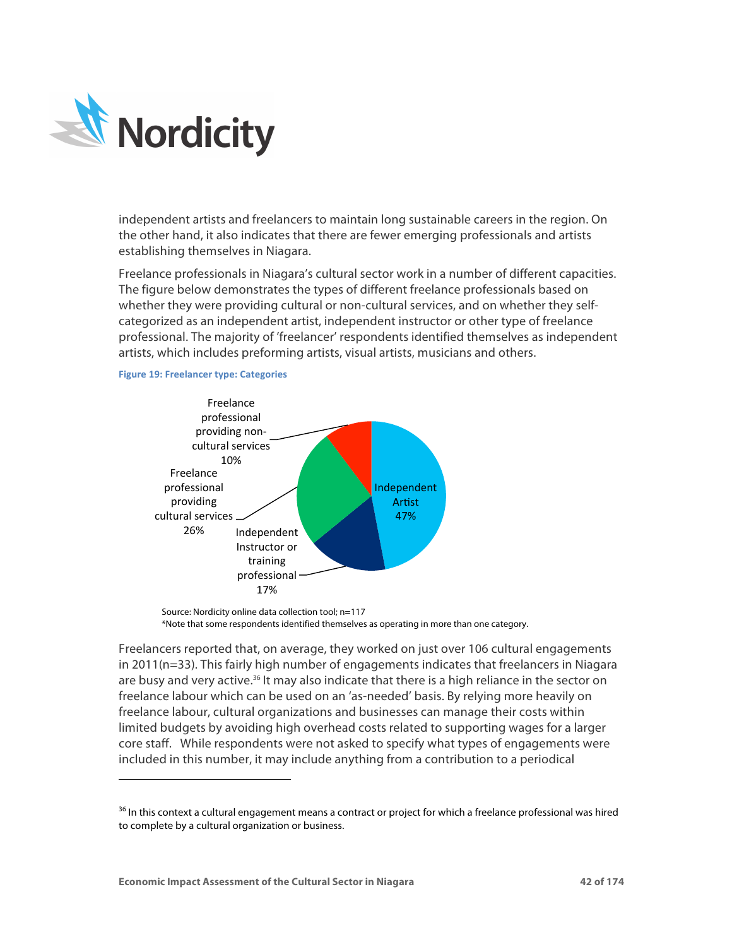

independent artists and freelancers to maintain long sustainable careers in the region. On the other hand, it also indicates that there are fewer emerging professionals and artists establishing themselves in Niagara.

Freelance professionals in Niagara's cultural sector work in a number of different capacities. The figure below demonstrates the types of different freelance professionals based on whether they were providing cultural or non-cultural services, and on whether they selfcategorized as an independent artist, independent instructor or other type of freelance professional. The majority of 'freelancer' respondents identified themselves as independent artists, which includes preforming artists, visual artists, musicians and others.

**Figure 19: Freelancer type: Categories** 

<sup>-</sup>



Source: Nordicity online data collection tool; n=117 \*Note that some respondents identified themselves as operating in more than one category.

Freelancers reported that, on average, they worked on just over 106 cultural engagements in 2011(n=33). This fairly high number of engagements indicates that freelancers in Niagara are busy and very active.<sup>36</sup> It may also indicate that there is a high reliance in the sector on freelance labour which can be used on an 'as-needed' basis. By relying more heavily on freelance labour, cultural organizations and businesses can manage their costs within limited budgets by avoiding high overhead costs related to supporting wages for a larger core staff. While respondents were not asked to specify what types of engagements were included in this number, it may include anything from a contribution to a periodical

<sup>&</sup>lt;sup>36</sup> In this context a cultural engagement means a contract or project for which a freelance professional was hired to complete by a cultural organization or business.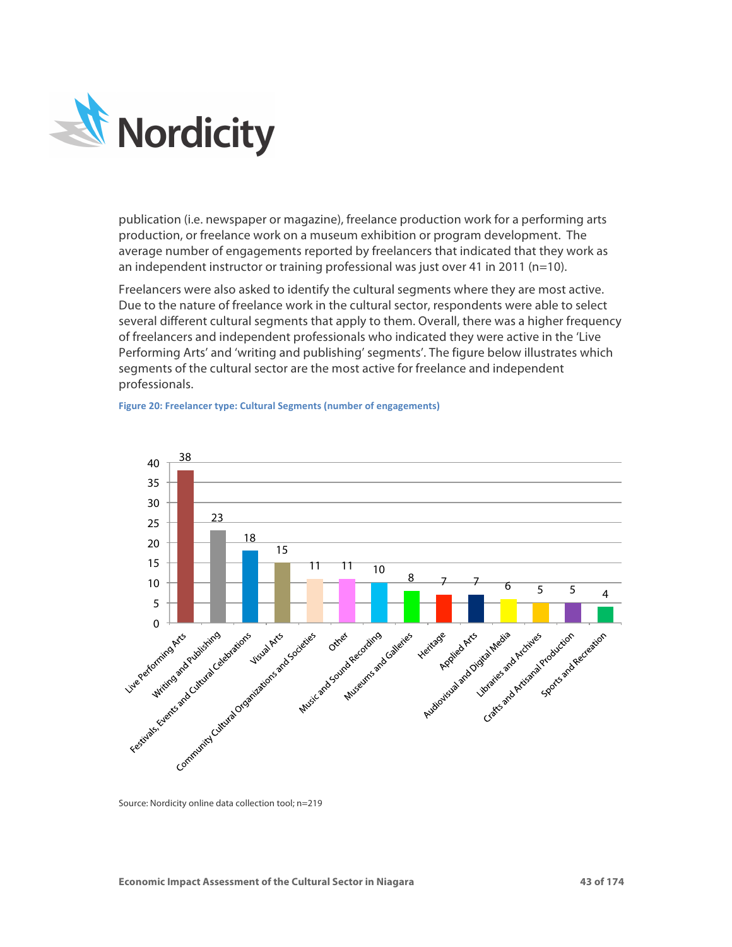

publication (i.e. newspaper or magazine), freelance production work for a performing arts production, or freelance work on a museum exhibition or program development. The average number of engagements reported by freelancers that indicated that they work as an independent instructor or training professional was just over 41 in 2011 (n=10).

Freelancers were also asked to identify the cultural segments where they are most active. Due to the nature of freelance work in the cultural sector, respondents were able to select several different cultural segments that apply to them. Overall, there was a higher frequency of freelancers and independent professionals who indicated they were active in the 'Live Performing Arts' and 'writing and publishing' segments'. The figure below illustrates which segments of the cultural sector are the most active for freelance and independent professionals.





Source: Nordicity online data collection tool; n=219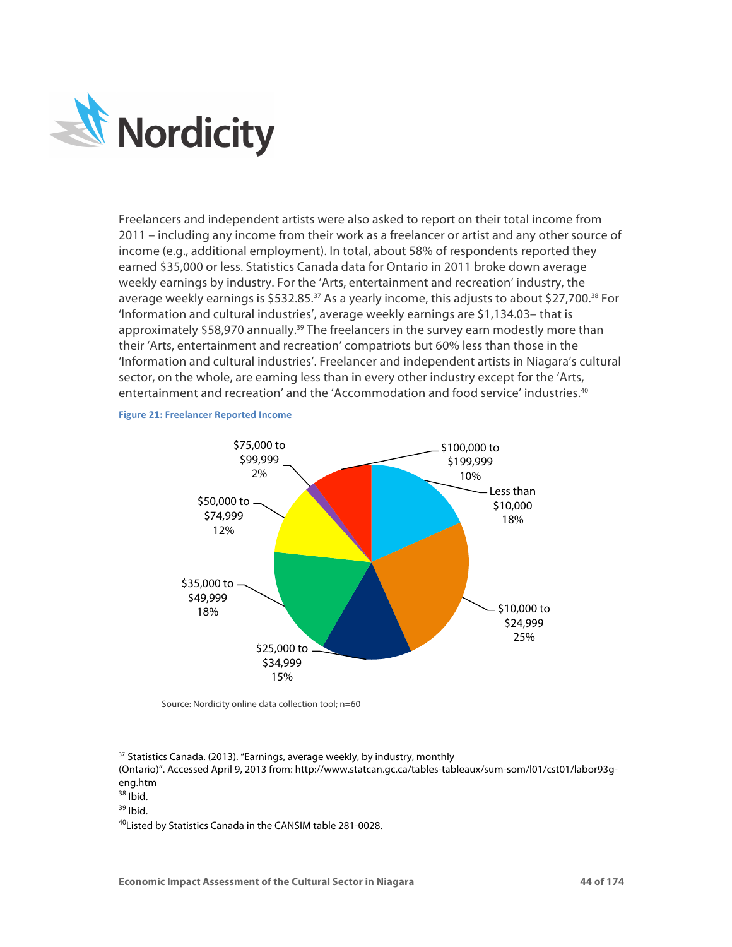

Freelancers and independent artists were also asked to report on their total income from 2011 – including any income from their work as a freelancer or artist and any other source of income (e.g., additional employment). In total, about 58% of respondents reported they earned \$35,000 or less. Statistics Canada data for Ontario in 2011 broke down average weekly earnings by industry. For the 'Arts, entertainment and recreation' industry, the average weekly earnings is \$532.85.<sup>37</sup> As a yearly income, this adjusts to about \$27,700.<sup>38</sup> For 'Information and cultural industries', average weekly earnings are \$1,134.03– that is approximately \$58,970 annually.<sup>39</sup> The freelancers in the survey earn modestly more than their 'Arts, entertainment and recreation' compatriots but 60% less than those in the 'Information and cultural industries'. Freelancer and independent artists in Niagara's cultural sector, on the whole, are earning less than in every other industry except for the 'Arts, entertainment and recreation' and the 'Accommodation and food service' industries. 40

### **Figure 21: Freelancer Reported Income**



Source: Nordicity online data collection tool; n=60

<sup>37</sup> Statistics Canada. (2013). "Earnings, average weekly, by industry, monthly

(Ontario)". Accessed April 9, 2013 from: http://www.statcan.gc.ca/tables-tableaux/sum-som/l01/cst01/labor93geng.htm

 $38$  Ibid.

-

40Listed by Statistics Canada in the CANSIM table 281-0028.

 $39$  Ibid.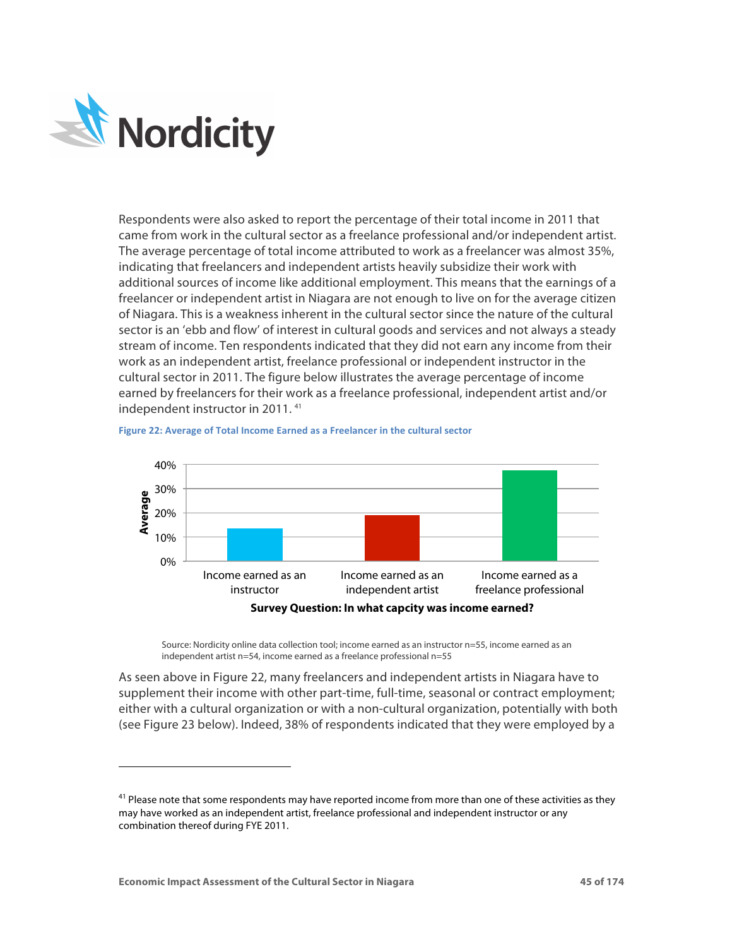

-

Respondents were also asked to report the percentage of their total income in 2011 that came from work in the cultural sector as a freelance professional and/or independent artist. The average percentage of total income attributed to work as a freelancer was almost 35%, indicating that freelancers and independent artists heavily subsidize their work with additional sources of income like additional employment. This means that the earnings of a freelancer or independent artist in Niagara are not enough to live on for the average citizen of Niagara. This is a weakness inherent in the cultural sector since the nature of the cultural sector is an 'ebb and flow' of interest in cultural goods and services and not always a steady stream of income. Ten respondents indicated that they did not earn any income from their work as an independent artist, freelance professional or independent instructor in the cultural sector in 2011. The figure below illustrates the average percentage of income earned by freelancers for their work as a freelance professional, independent artist and/or independent instructor in 2011. 41



**Figure 22: Average of Total Income Earned as a Freelancer in the cultural sector** 

Source: Nordicity online data collection tool; income earned as an instructor n=55, income earned as an independent artist n=54, income earned as a freelance professional n=55

As seen above in Figure 22, many freelancers and independent artists in Niagara have to supplement their income with other part-time, full-time, seasonal or contract employment; either with a cultural organization or with a non-cultural organization, potentially with both (see Figure 23 below). Indeed, 38% of respondents indicated that they were employed by a

 $41$  Please note that some respondents may have reported income from more than one of these activities as they may have worked as an independent artist, freelance professional and independent instructor or any combination thereof during FYE 2011.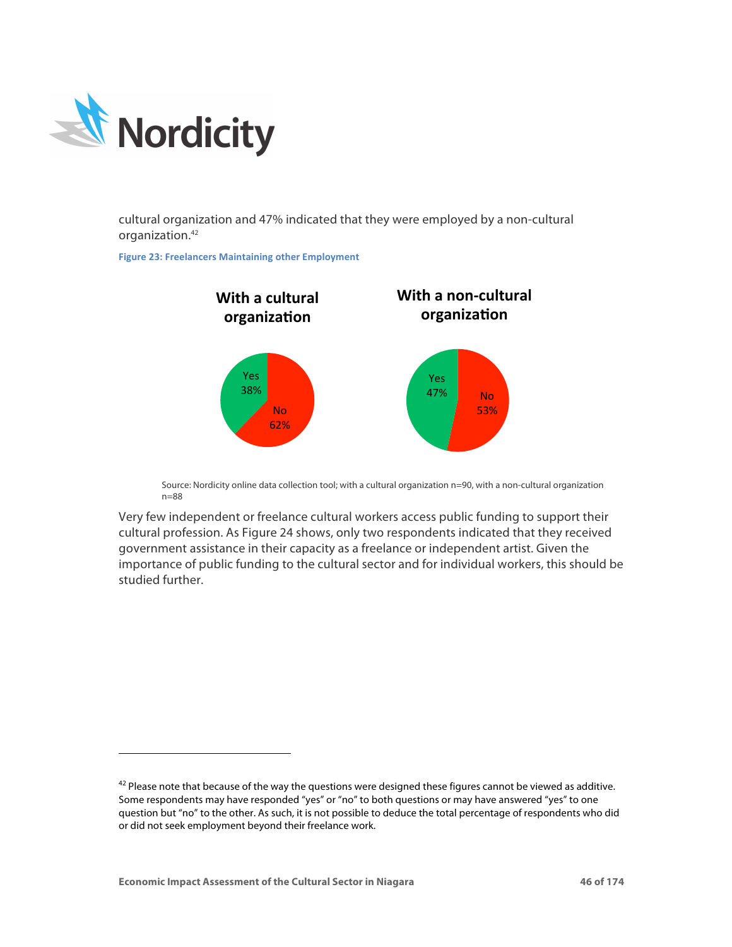

-

cultural organization and 47% indicated that they were employed by a non-cultural organization.42

**Figure 23: Freelancers Maintaining other Employment** 



Source: Nordicity online data collection tool; with a cultural organization n=90, with a non-cultural organization n=88

Very few independent or freelance cultural workers access public funding to support their cultural profession. As Figure 24 shows, only two respondents indicated that they received government assistance in their capacity as a freelance or independent artist. Given the importance of public funding to the cultural sector and for individual workers, this should be studied further.

 $42$  Please note that because of the way the questions were designed these figures cannot be viewed as additive. Some respondents may have responded "yes" or "no" to both questions or may have answered "yes" to one question but "no" to the other. As such, it is not possible to deduce the total percentage of respondents who did or did not seek employment beyond their freelance work.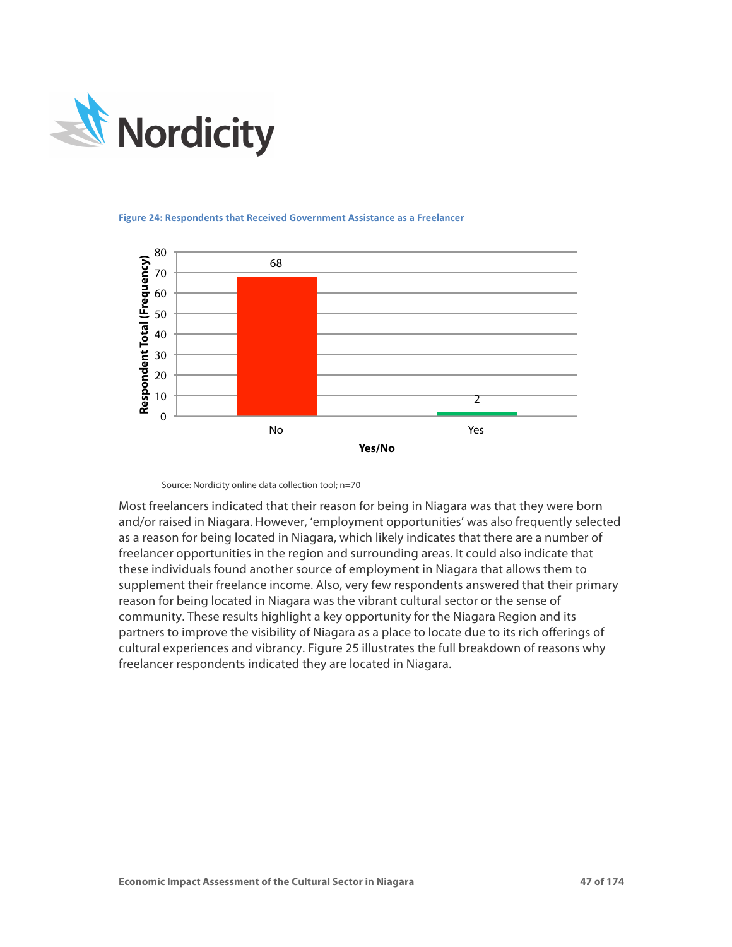



### **Figure 24: Respondents that Received Government Assistance as a Freelancer**

Source: Nordicity online data collection tool; n=70

Most freelancers indicated that their reason for being in Niagara was that they were born and/or raised in Niagara. However, 'employment opportunities' was also frequently selected as a reason for being located in Niagara, which likely indicates that there are a number of freelancer opportunities in the region and surrounding areas. It could also indicate that these individuals found another source of employment in Niagara that allows them to supplement their freelance income. Also, very few respondents answered that their primary reason for being located in Niagara was the vibrant cultural sector or the sense of community. These results highlight a key opportunity for the Niagara Region and its partners to improve the visibility of Niagara as a place to locate due to its rich offerings of cultural experiences and vibrancy. Figure 25 illustrates the full breakdown of reasons why freelancer respondents indicated they are located in Niagara.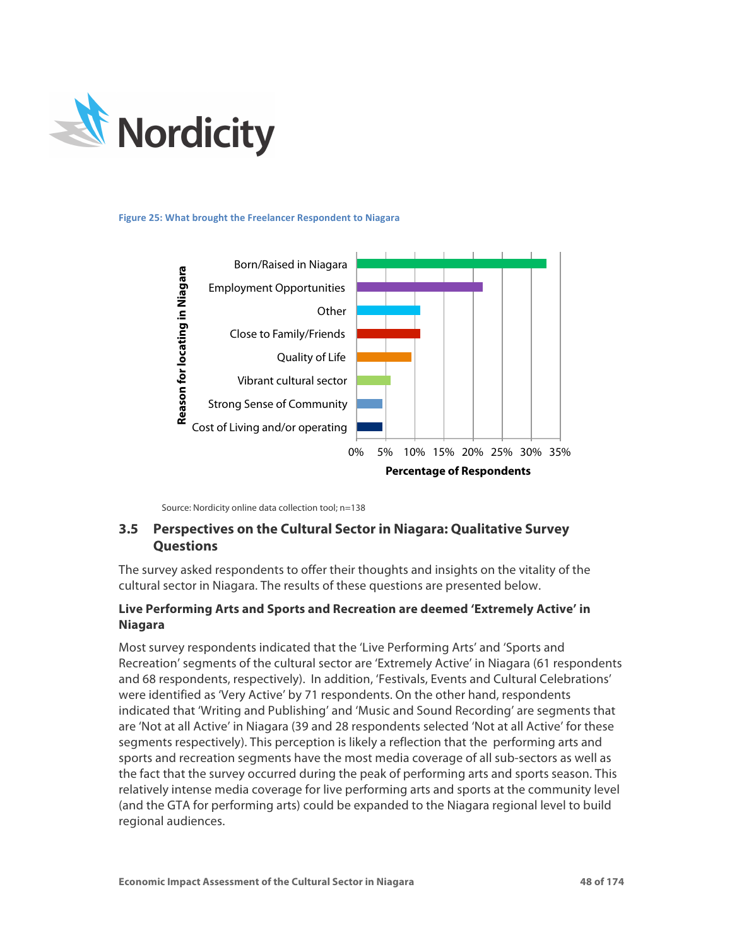

**Figure 25: What brought the Freelancer Respondent to Niagara** 



Source: Nordicity online data collection tool; n=138

# **3.5 Perspectives on the Cultural Sector in Niagara: Qualitative Survey Questions**

The survey asked respondents to offer their thoughts and insights on the vitality of the cultural sector in Niagara. The results of these questions are presented below.

# **Live Performing Arts and Sports and Recreation are deemed 'Extremely Active' in Niagara**

Most survey respondents indicated that the 'Live Performing Arts' and 'Sports and Recreation' segments of the cultural sector are 'Extremely Active' in Niagara (61 respondents and 68 respondents, respectively). In addition, 'Festivals, Events and Cultural Celebrations' were identified as 'Very Active' by 71 respondents. On the other hand, respondents indicated that 'Writing and Publishing' and 'Music and Sound Recording' are segments that are 'Not at all Active' in Niagara (39 and 28 respondents selected 'Not at all Active' for these segments respectively). This perception is likely a reflection that the performing arts and sports and recreation segments have the most media coverage of all sub-sectors as well as the fact that the survey occurred during the peak of performing arts and sports season. This relatively intense media coverage for live performing arts and sports at the community level (and the GTA for performing arts) could be expanded to the Niagara regional level to build regional audiences.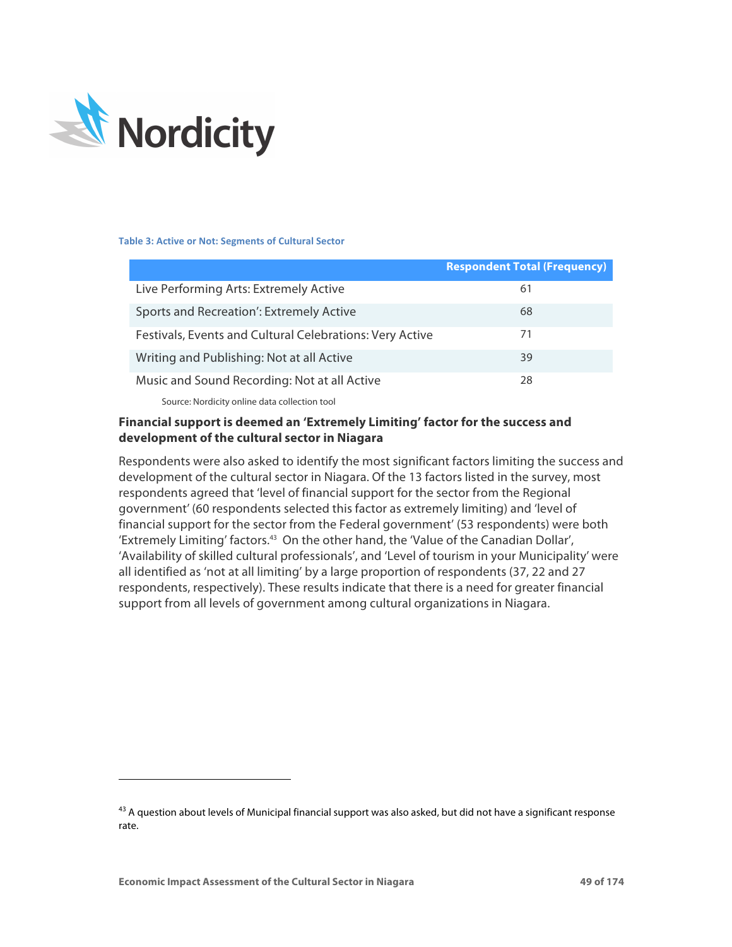

#### **Table 3: Active or Not: Segments of Cultural Sector**

|                                                          | <b>Respondent Total (Frequency)</b> |
|----------------------------------------------------------|-------------------------------------|
| Live Performing Arts: Extremely Active                   | 61                                  |
| Sports and Recreation': Extremely Active                 | 68                                  |
| Festivals, Events and Cultural Celebrations: Very Active | 71                                  |
| Writing and Publishing: Not at all Active                | 39                                  |
| Music and Sound Recording: Not at all Active             | 28                                  |
| Common Mondiale control delegated to active and          |                                     |

Source: Nordicity online data collection tool

## **Financial support is deemed an 'Extremely Limiting' factor for the success and development of the cultural sector in Niagara**

Respondents were also asked to identify the most significant factors limiting the success and development of the cultural sector in Niagara. Of the 13 factors listed in the survey, most respondents agreed that 'level of financial support for the sector from the Regional government' (60 respondents selected this factor as extremely limiting) and 'level of financial support for the sector from the Federal government' (53 respondents) were both 'Extremely Limiting' factors.43 On the other hand, the 'Value of the Canadian Dollar', 'Availability of skilled cultural professionals', and 'Level of tourism in your Municipality' were all identified as 'not at all limiting' by a large proportion of respondents (37, 22 and 27 respondents, respectively). These results indicate that there is a need for greater financial support from all levels of government among cultural organizations in Niagara.

<sup>-</sup>

 $43$  A question about levels of Municipal financial support was also asked, but did not have a significant response rate.